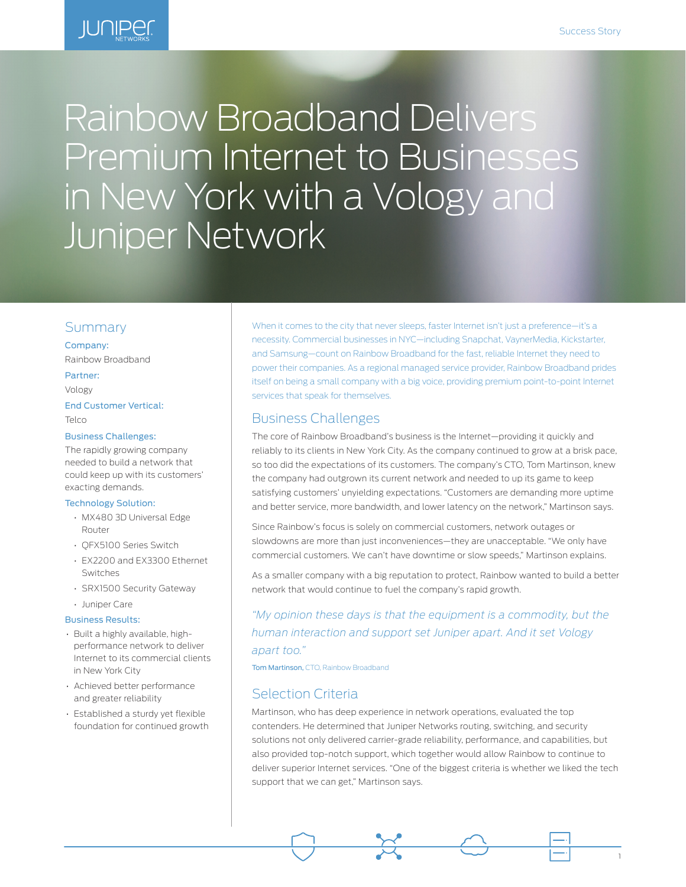1



# Rainbow Broadband Delivers Premium Internet to Businesses in New York with a Vology and Juniper Network

# Summary

Company: Rainbow Broadband

#### Partner:

Vology

End Customer Vertical: Telco

#### Business Challenges:

The rapidly growing company needed to build a network that could keep up with its customers' exacting demands.

#### Technology Solution:

- MX480 3D Universal Edge Router
- QFX5100 Series Switch
- EX2200 and EX3300 Ethernet Switches
- SRX1500 Security Gateway
- Juniper Care

#### Business Results:

- Built a highly available, highperformance network to deliver Internet to its commercial clients in New York City
- Achieved better performance and greater reliability
- Established a sturdy yet flexible foundation for continued growth

When it comes to the city that never sleeps, faster Internet isn't just a preference—it's a necessity. Commercial businesses in NYC—including Snapchat, VaynerMedia, Kickstarter, and Samsung—count on Rainbow Broadband for the fast, reliable Internet they need to power their companies. As a regional managed service provider, Rainbow Broadband prides itself on being a small company with a big voice, providing premium point-to-point Internet services that speak for themselves.

## Business Challenges

The core of Rainbow Broadband's business is the Internet—providing it quickly and reliably to its clients in New York City. As the company continued to grow at a brisk pace, so too did the expectations of its customers. The company's CTO, Tom Martinson, knew the company had outgrown its current network and needed to up its game to keep satisfying customers' unyielding expectations. "Customers are demanding more uptime and better service, more bandwidth, and lower latency on the network," Martinson says.

Since Rainbow's focus is solely on commercial customers, network outages or slowdowns are more than just inconveniences—they are unacceptable. "We only have commercial customers. We can't have downtime or slow speeds," Martinson explains.

As a smaller company with a big reputation to protect, Rainbow wanted to build a better network that would continue to fuel the company's rapid growth.

*"My opinion these days is that the equipment is a commodity, but the human interaction and support set Juniper apart. And it set Vology apart too."* 

Tom Martinson, CTO, Rainbow Broadband

# Selection Criteria

Martinson, who has deep experience in network operations, evaluated the top contenders. He determined that Juniper Networks routing, switching, and security solutions not only delivered carrier-grade reliability, performance, and capabilities, but also provided top-notch support, which together would allow Rainbow to continue to deliver superior Internet services. "One of the biggest criteria is whether we liked the tech support that we can get," Martinson says.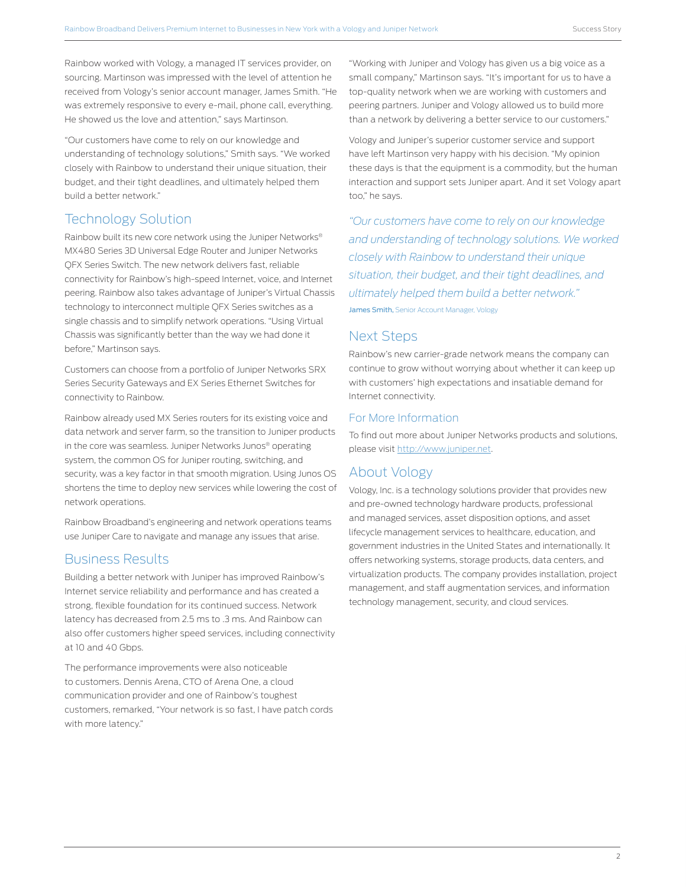Rainbow worked with Vology, a managed IT services provider, on sourcing. Martinson was impressed with the level of attention he received from Vology's senior account manager, James Smith. "He was extremely responsive to every e-mail, phone call, everything. He showed us the love and attention," says Martinson.

"Our customers have come to rely on our knowledge and understanding of technology solutions," Smith says. "We worked closely with Rainbow to understand their unique situation, their budget, and their tight deadlines, and ultimately helped them build a better network."

# Technology Solution

Rainbow built its new core network using the Juniper Networks® MX480 Series 3D Universal Edge Router and Juniper Networks QFX Series Switch. The new network delivers fast, reliable connectivity for Rainbow's high-speed Internet, voice, and Internet peering. Rainbow also takes advantage of Juniper's Virtual Chassis technology to interconnect multiple QFX Series switches as a single chassis and to simplify network operations. "Using Virtual Chassis was significantly better than the way we had done it before," Martinson says.

Customers can choose from a portfolio of Juniper Networks SRX Series Security Gateways and EX Series Ethernet Switches for connectivity to Rainbow.

Rainbow already used MX Series routers for its existing voice and data network and server farm, so the transition to Juniper products in the core was seamless. Juniper Networks Junos® operating system, the common OS for Juniper routing, switching, and security, was a key factor in that smooth migration. Using Junos OS shortens the time to deploy new services while lowering the cost of network operations.

Rainbow Broadband's engineering and network operations teams use Juniper Care to navigate and manage any issues that arise.

# Business Results

Building a better network with Juniper has improved Rainbow's Internet service reliability and performance and has created a strong, flexible foundation for its continued success. Network latency has decreased from 2.5 ms to .3 ms. And Rainbow can also offer customers higher speed services, including connectivity at 10 and 40 Gbps.

The performance improvements were also noticeable to customers. Dennis Arena, CTO of Arena One, a cloud communication provider and one of Rainbow's toughest customers, remarked, "Your network is so fast, I have patch cords with more latency."

"Working with Juniper and Vology has given us a big voice as a small company," Martinson says. "It's important for us to have a top-quality network when we are working with customers and peering partners. Juniper and Vology allowed us to build more than a network by delivering a better service to our customers."

Vology and Juniper's superior customer service and support have left Martinson very happy with his decision. "My opinion these days is that the equipment is a commodity, but the human interaction and support sets Juniper apart. And it set Vology apart too," he says.

*"Our customers have come to rely on our knowledge and understanding of technology solutions. We worked closely with Rainbow to understand their unique situation, their budget, and their tight deadlines, and ultimately helped them build a better network."*  James Smith, Senior Account Manager, Vology

# Next Steps

Rainbow's new carrier-grade network means the company can continue to grow without worrying about whether it can keep up with customers' high expectations and insatiable demand for Internet connectivity.

### For More Information

To find out more about Juniper Networks products and solutions, please visit <http://www.juniper.net>.

# About Vology

Vology, Inc. is a technology solutions provider that provides new and pre-owned technology hardware products, professional and managed services, asset disposition options, and asset lifecycle management services to healthcare, education, and government industries in the United States and internationally. It offers networking systems, storage products, data centers, and virtualization products. The company provides installation, project management, and staff augmentation services, and information technology management, security, and cloud services.